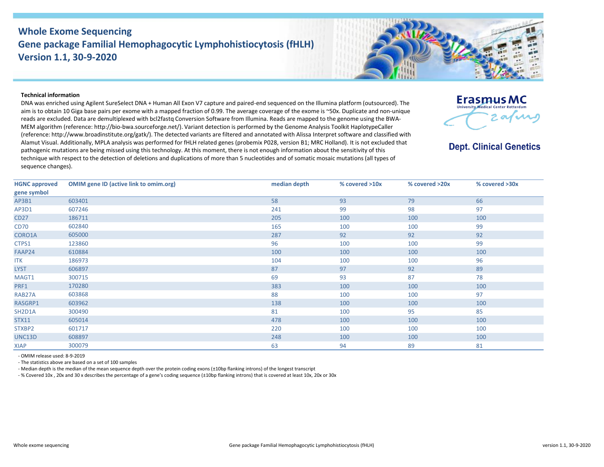## **Whole Exome Sequencing Gene package Familial Hemophagocytic Lymphohistiocytosis (fHLH) Version 1.1, 30-9-2020**



## **Technical information**

DNA was enriched using Agilent SureSelect DNA + Human All Exon V7 capture and paired-end sequenced on the Illumina platform (outsourced). The aim is to obtain 10 Giga base pairs per exome with a mapped fraction of 0.99. The average coverage of the exome is ~50x. Duplicate and non-unique reads are excluded. Data are demultiplexed with bcl2fastq Conversion Software from Illumina. Reads are mapped to the genome using the BWA-MEM algorithm (reference: http://bio‐bwa.sourceforge.net/). Variant detection is performed by the Genome Analysis Toolkit HaplotypeCaller (reference: http://www.broadinstitute.org/gatk/). The detected variants are filtered and annotated with Alissa Interpret software and classified with Alamut Visual. Additionally, MPLA analysis was performed for fHLH related genes (probemix P028, version B1; MRC Holland). It is not excluded that pathogenic mutations are being missed using this technology. At this moment, there is not enough information about the sensitivity of this technique with respect to the detection of deletions and duplications of more than 5 nucleotides and of somatic mosaic mutations (all types of sequence changes).



## **Dept. Clinical Genetics**

| <b>HGNC approved</b> | <b>OMIM gene ID (active link to omim.org)</b> | median depth | % covered >10x | % covered >20x | % covered >30x |
|----------------------|-----------------------------------------------|--------------|----------------|----------------|----------------|
| gene symbol          |                                               |              |                |                |                |
| AP3B1                | 603401                                        | 58           | 93             | 79             | 66             |
| AP3D1                | 607246                                        | 241          | 99             | 98             | 97             |
| <b>CD27</b>          | 186711                                        | 205          | 100            | 100            | 100            |
| <b>CD70</b>          | 602840                                        | 165          | 100            | 100            | 99             |
| CORO1A               | 605000                                        | 287          | 92             | 92             | 92             |
| CTPS1                | 123860                                        | 96           | 100            | 100            | 99             |
| FAAP24               | 610884                                        | 100          | 100            | 100            | 100            |
| <b>ITK</b>           | 186973                                        | 104          | 100            | 100            | 96             |
| <b>LYST</b>          | 606897                                        | 87           | 97             | 92             | 89             |
| MAGT1                | 300715                                        | 69           | 93             | 87             | 78             |
| PRF1                 | 170280                                        | 383          | 100            | 100            | 100            |
| RAB27A               | 603868                                        | 88           | 100            | 100            | 97             |
| RASGRP1              | 603962                                        | 138          | 100            | 100            | 100            |
| SH2D1A               | 300490                                        | 81           | 100            | 95             | 85             |
| <b>STX11</b>         | 605014                                        | 478          | 100            | 100            | 100            |
| STXBP2               | 601717                                        | 220          | 100            | 100            | 100            |
| UNC13D               | 608897                                        | 248          | 100            | 100            | 100            |
| <b>XIAP</b>          | 300079                                        | 63           | 94             | 89             | 81             |

- OMIM release used: 8-9-2019

- The statistics above are based on a set of 100 samples

- Median depth is the median of the mean sequence depth over the protein coding exons (±10bp flanking introns) of the longest transcript

- % Covered 10x , 20x and 30 x describes the percentage of a gene's coding sequence (±10bp flanking introns) that is covered at least 10x, 20x or 30x